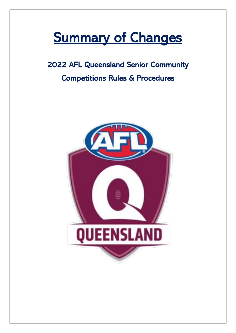# **Summary of Changes**

# 2022 AFL Queensland Senior Community Competitions Rules & Procedures

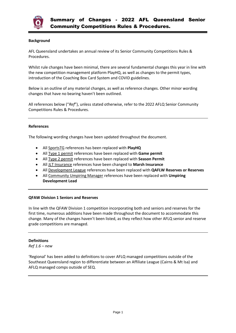

#### **Background**

AFL Queensland undertakes an annual review of its Senior Community Competitions Rules & Procedures.

Whilst rule changes have been minimal, there are several fundamental changes this year in line with the new competition management platform PlayHQ, as well as changes to the permit types, introduction of the Coaching Box Card System and COVID guidelines.

Below is an outline of any material changes, as well as reference changes. Other minor wording changes that have no bearing haven't been outlined.

All references below ("*Ref*"), unless stated otherwise, refer to the 2022 AFLQ Senior Community Competitions Rules & Procedures.

#### **References**

The following wording changes have been updated throughout the document.

- All SportsTG references has been replaced with **PlayHQ**
- All Type 1 permit references have been replaced with **Game permit**
- All Type 2 permit references have been replaced with **Season Permit**
- All JLT Insurance references have been changed to **Marsh Insurance**
- All Development League references have been replaced with **QAFLW Reserves or Reserves**
- All Community Umpiring Manager references have been replaced with **Umpiring Development Lead**

#### **QFAW Division 1 Seniors and Reserves**

In line with the QFAW Division 1 competition incorporating both and seniors and reserves for the first time, numerous additions have been made throughout the document to accommodate this change. Many of the changes haven't been listed, as they reflect how other AFLQ senior and reserve grade competitions are managed.

#### **Definitions**

*Ref 1.6 – new* 

'Regional' has been added to definitions to cover AFLQ managed competitions outside of the Southeast Queensland region to differentiate between an Affiliate League (Cairns & Mt Isa) and AFLQ managed comps outside of SEQ.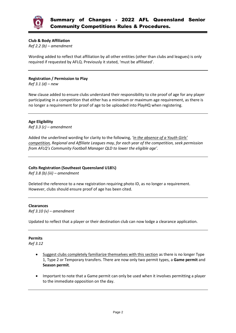

#### **Club & Body Affiliation**

*Ref 2.2 (b) – amendment* 

Wording added to reflect that affiliation by all other entities (other than clubs and leagues) is only required if requested by AFLQ. Previously it stated, 'must be affiliated'.

#### **Registration / Permission to Play**

*Ref 3.1 (d) – new*

New clause added to ensure clubs understand their responsibility to cite proof of age for any player participating in a competition that either has a minimum or maximum age requirement, as there is no longer a requirement for proof of age to be uploaded into PlayHQ when registering.

### **Age Eligibility**

*Ref 3.3 (c) – amendment* 

Added the underlined wording for clarity to the following, *'in the absence of a Youth Girls' competition, Regional and Affiliate Leagues may, for each year of the competition, seek permission from AFLQ's Community Football Manager QLD to lower the eligible age'.*

#### **Colts Registration (Southeast Queensland U18½)**

*Ref 3.8 (b) (iii) – amendment*

Deleted the reference to a new registration requiring photo ID, as no longer a requirement. However, clubs should ensure proof of age has been cited.

#### **Clearances**

*Ref 3.10 (v) – amendment* 

Updated to reflect that a player or their destination club can now lodge a clearance application.

#### **Permits**

*Ref 3.12*

- Suggest clubs completely familiarize themselves with this section as there is no longer Type 1, Type 2 or Temporary transfers. There are now only two permit types, a **Game permit** and **Season permit**.
- Important to note that a Game permit can only be used when it involves permitting a player to the immediate opposition on the day.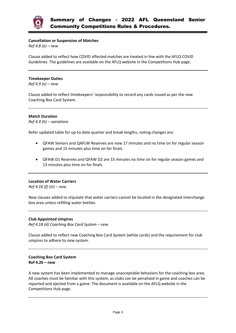

#### **Cancellation or Suspension of Matches**

*Ref 4.8 (e) – new*

Clause added to reflect how COVID affected matches are treated in line with the AFLQ COVID Guidelines. The guidelines are available on the AFLQ website in the Competitions Hub page.

#### **Timekeeper Duties**

*Ref 4.9 (e) – new*

Clause added to reflect timekeepers' responsibility to record any cards issued as per the new Coaching Box Card System.

#### **Match Duration**

*Ref 4.9 (h) – variations*

Refer updated table for up-to-date quarter and break lengths, noting changes are:

- QFAW Seniors and QAFLW Reserves are now 17 minutes and no time on for regular season games and 15 minutes plus time on for finals.
- QFAW D1 Reserves and QFAW D2 are 15 minutes no time on for regular season games and 13 minutes plus time on for finals.

#### **Location of Water Carriers**

*Ref 4.16 (f) (iii) – new*

New clauses added to stipulate that water carriers cannot be located in the designated interchange box area unless refilling water bottles.

#### **Club Appointed Umpires**

*Ref 4.18 (d) Coaching Box Card System – new*

Clause added to reflect new Coaching Box Card System (white cards) and the requirement for club umpires to adhere to new system.

#### **Coaching Box Card System Ref 4.26 – new**

A new system has been implemented to manage unacceptable behaviors for the coaching box area. All coaches must be familiar with this system, as clubs can be penalised in game and coaches can be reported and ejected from a game. The document is available on the AFLQ website in the Competitions Hub page.